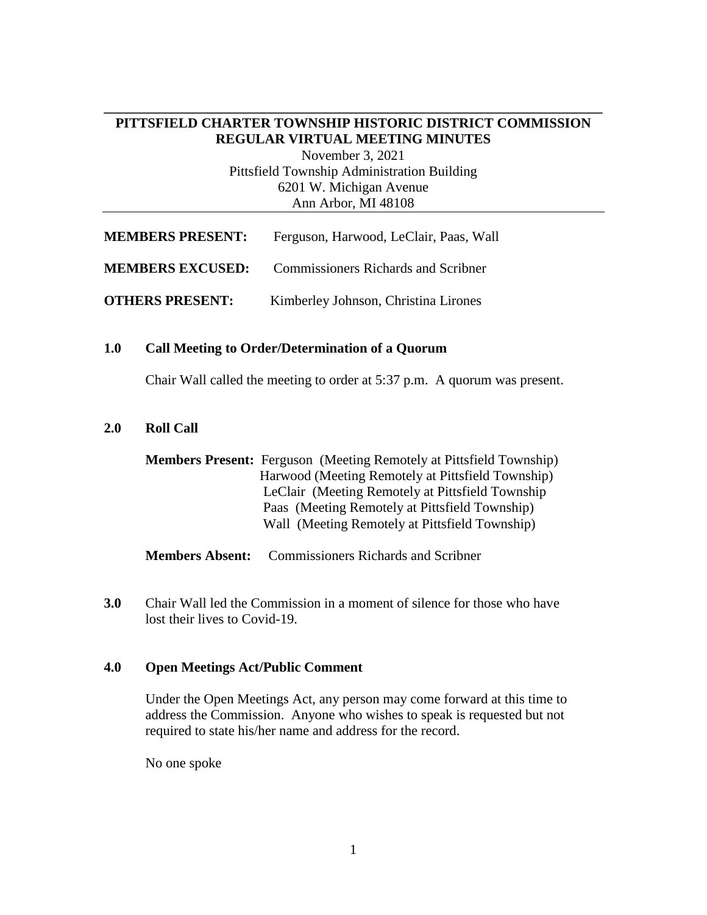## **\_\_\_\_\_\_\_\_\_\_\_\_\_\_\_\_\_\_\_\_\_\_\_\_\_\_\_\_\_\_\_\_\_\_\_\_\_\_\_\_\_\_\_\_\_\_\_\_\_\_\_\_\_\_\_\_\_\_\_\_\_\_\_\_\_\_\_\_\_\_\_\_ PITTSFIELD CHARTER TOWNSHIP HISTORIC DISTRICT COMMISSION REGULAR VIRTUAL MEETING MINUTES**

November 3, 2021 Pittsfield Township Administration Building 6201 W. Michigan Avenue Ann Arbor, MI 48108

| <b>MEMBERS PRESENT:</b> | Ferguson, Harwood, LeClair, Paas, Wall     |
|-------------------------|--------------------------------------------|
| <b>MEMBERS EXCUSED:</b> | <b>Commissioners Richards and Scribner</b> |
| <b>OTHERS PRESENT:</b>  | Kimberley Johnson, Christina Lirones       |

#### **1.0 Call Meeting to Order/Determination of a Quorum**

Chair Wall called the meeting to order at 5:37 p.m. A quorum was present.

## **2.0 Roll Call**

| <b>Members Present:</b> Ferguson (Meeting Remotely at Pittsfield Township) |
|----------------------------------------------------------------------------|
| Harwood (Meeting Remotely at Pittsfield Township)                          |
| LeClair (Meeting Remotely at Pittsfield Township                           |
| Paas (Meeting Remotely at Pittsfield Township)                             |
| Wall (Meeting Remotely at Pittsfield Township)                             |
|                                                                            |

**Members Absent:** Commissioners Richards and Scribner

**3.0** Chair Wall led the Commission in a moment of silence for those who have lost their lives to Covid-19.

#### **4.0 Open Meetings Act/Public Comment**

Under the Open Meetings Act, any person may come forward at this time to address the Commission. Anyone who wishes to speak is requested but not required to state his/her name and address for the record.

No one spoke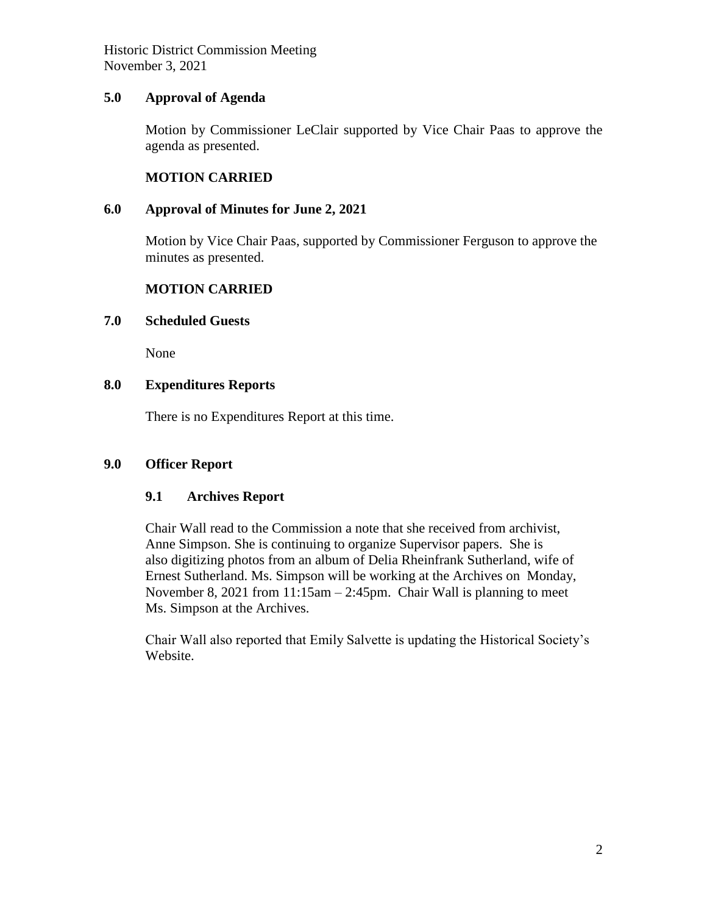Historic District Commission Meeting November 3, 2021

## **5.0 Approval of Agenda**

Motion by Commissioner LeClair supported by Vice Chair Paas to approve the agenda as presented.

## **MOTION CARRIED**

## **6.0 Approval of Minutes for June 2, 2021**

Motion by Vice Chair Paas, supported by Commissioner Ferguson to approve the minutes as presented.

## **MOTION CARRIED**

### **7.0 Scheduled Guests**

None

## **8.0 Expenditures Reports**

There is no Expenditures Report at this time.

## **9.0 Officer Report**

## **9.1 Archives Report**

Chair Wall read to the Commission a note that she received from archivist, Anne Simpson. She is continuing to organize Supervisor papers. She is also digitizing photos from an album of Delia Rheinfrank Sutherland, wife of Ernest Sutherland. Ms. Simpson will be working at the Archives on Monday, November 8, 2021 from 11:15am – 2:45pm. Chair Wall is planning to meet Ms. Simpson at the Archives.

Chair Wall also reported that Emily Salvette is updating the Historical Society's Website.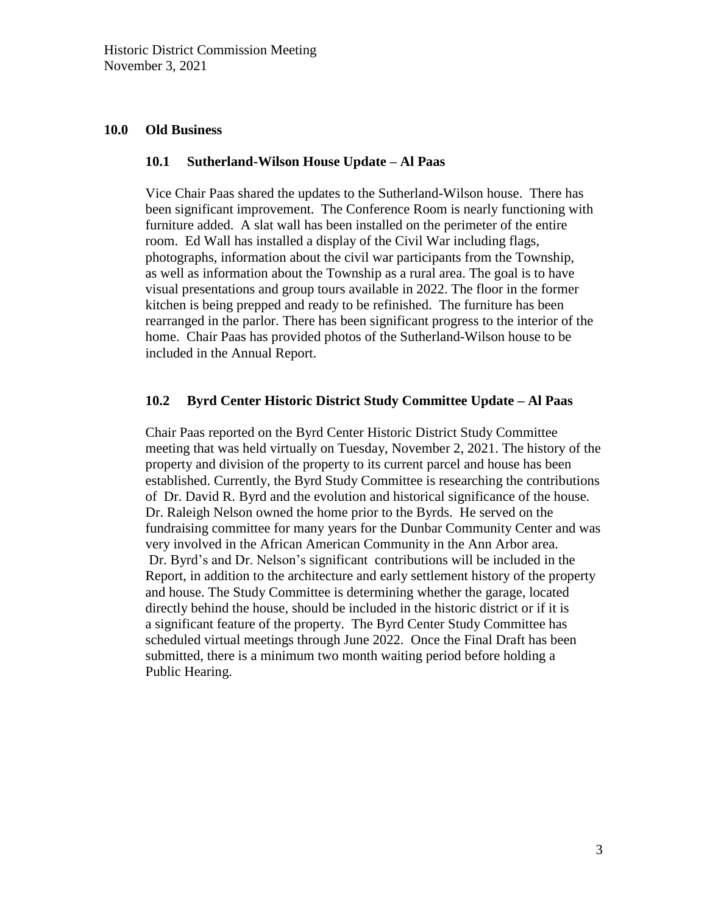### **10.0 Old Business**

#### **10.1 Sutherland-Wilson House Update – Al Paas**

Vice Chair Paas shared the updates to the Sutherland-Wilson house. There has been significant improvement. The Conference Room is nearly functioning with furniture added. A slat wall has been installed on the perimeter of the entire room. Ed Wall has installed a display of the Civil War including flags, photographs, information about the civil war participants from the Township, as well as information about the Township as a rural area. The goal is to have visual presentations and group tours available in 2022. The floor in the former kitchen is being prepped and ready to be refinished. The furniture has been rearranged in the parlor. There has been significant progress to the interior of the home. Chair Paas has provided photos of the Sutherland-Wilson house to be included in the Annual Report.

#### **10.2 Byrd Center Historic District Study Committee Update – Al Paas**

Chair Paas reported on the Byrd Center Historic District Study Committee meeting that was held virtually on Tuesday, November 2, 2021. The history of the property and division of the property to its current parcel and house has been established. Currently, the Byrd Study Committee is researching the contributions of Dr. David R. Byrd and the evolution and historical significance of the house. Dr. Raleigh Nelson owned the home prior to the Byrds. He served on the fundraising committee for many years for the Dunbar Community Center and was very involved in the African American Community in the Ann Arbor area. Dr. Byrd's and Dr. Nelson's significant contributions will be included in the Report, in addition to the architecture and early settlement history of the property and house. The Study Committee is determining whether the garage, located directly behind the house, should be included in the historic district or if it is a significant feature of the property. The Byrd Center Study Committee has scheduled virtual meetings through June 2022. Once the Final Draft has been submitted, there is a minimum two month waiting period before holding a Public Hearing.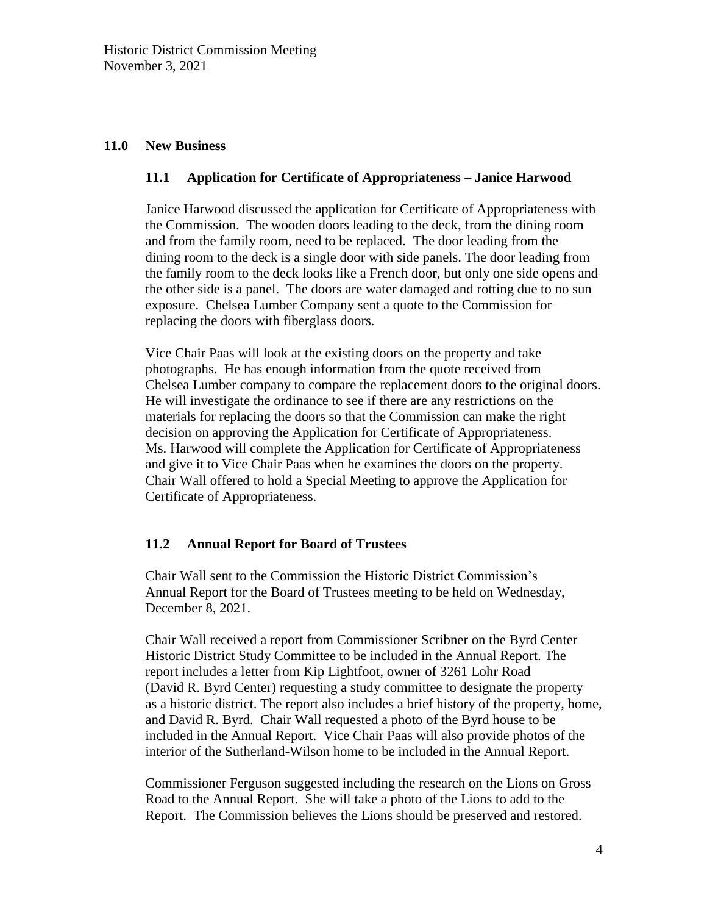### **11.0 New Business**

## **11.1 Application for Certificate of Appropriateness – Janice Harwood**

Janice Harwood discussed the application for Certificate of Appropriateness with the Commission. The wooden doors leading to the deck, from the dining room and from the family room, need to be replaced. The door leading from the dining room to the deck is a single door with side panels. The door leading from the family room to the deck looks like a French door, but only one side opens and the other side is a panel. The doors are water damaged and rotting due to no sun exposure. Chelsea Lumber Company sent a quote to the Commission for replacing the doors with fiberglass doors.

Vice Chair Paas will look at the existing doors on the property and take photographs. He has enough information from the quote received from Chelsea Lumber company to compare the replacement doors to the original doors. He will investigate the ordinance to see if there are any restrictions on the materials for replacing the doors so that the Commission can make the right decision on approving the Application for Certificate of Appropriateness. Ms. Harwood will complete the Application for Certificate of Appropriateness and give it to Vice Chair Paas when he examines the doors on the property. Chair Wall offered to hold a Special Meeting to approve the Application for Certificate of Appropriateness.

## **11.2 Annual Report for Board of Trustees**

Chair Wall sent to the Commission the Historic District Commission's Annual Report for the Board of Trustees meeting to be held on Wednesday, December 8, 2021.

Chair Wall received a report from Commissioner Scribner on the Byrd Center Historic District Study Committee to be included in the Annual Report. The report includes a letter from Kip Lightfoot, owner of 3261 Lohr Road (David R. Byrd Center) requesting a study committee to designate the property as a historic district. The report also includes a brief history of the property, home, and David R. Byrd. Chair Wall requested a photo of the Byrd house to be included in the Annual Report. Vice Chair Paas will also provide photos of the interior of the Sutherland-Wilson home to be included in the Annual Report.

Commissioner Ferguson suggested including the research on the Lions on Gross Road to the Annual Report. She will take a photo of the Lions to add to the Report. The Commission believes the Lions should be preserved and restored.